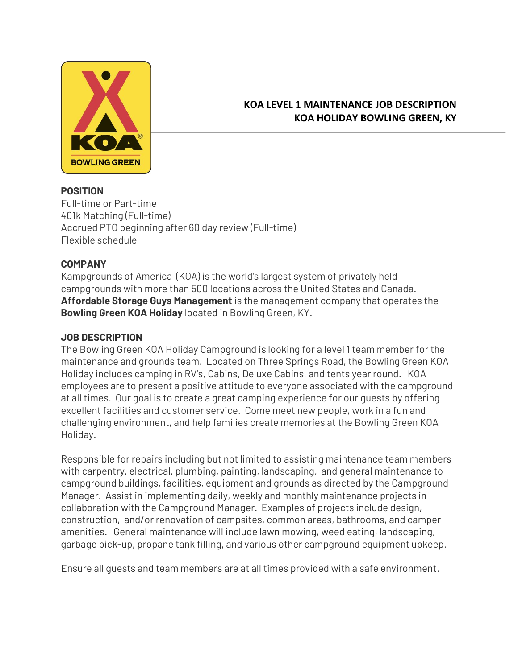

### **KOA LEVEL 1 MAINTENANCE JOB DESCRIPTION KOA HOLIDAY BOWLING GREEN, KY**

#### **POSITION**

Full-time or Part-time 401k Matching (Full-time) Accrued PTO beginning after 60 day review (Full-time) Flexible schedule

#### **COMPANY**

Kampgrounds of America (KOA) is the world's largest system of privately held campgrounds with more than 500 locations across the United States and Canada. **Affordable Storage Guys Management** is the management company that operates the **Bowling Green KOA Holiday** located in Bowling Green, KY.

#### **JOB DESCRIPTION**

The Bowling Green KOA Holiday Campground is looking for a level 1 team member for the maintenance and grounds team. Located on Three Springs Road, the Bowling Green KOA Holiday includes camping in RV's, Cabins, Deluxe Cabins, and tents year round. KOA employees are to present a positive attitude to everyone associated with the campground at all times. Our goal is to create a great camping experience for our guests by offering excellent facilities and customer service. Come meet new people, work in a fun and challenging environment, and help families create memories at the Bowling Green KOA Holiday.

Responsible for repairs including but not limited to assisting maintenance team members with carpentry, electrical, plumbing, painting, landscaping, and general maintenance to campground buildings, facilities, equipment and grounds as directed by the Campground Manager. Assist in implementing daily, weekly and monthly maintenance projects in collaboration with the Campground Manager. Examples of projects include design, construction, and/or renovation of campsites, common areas, bathrooms, and camper amenities. General maintenance will include lawn mowing, weed eating, landscaping, garbage pick-up, propane tank filling, and various other campground equipment upkeep.

Ensure all guests and team members are at all times provided with a safe environment.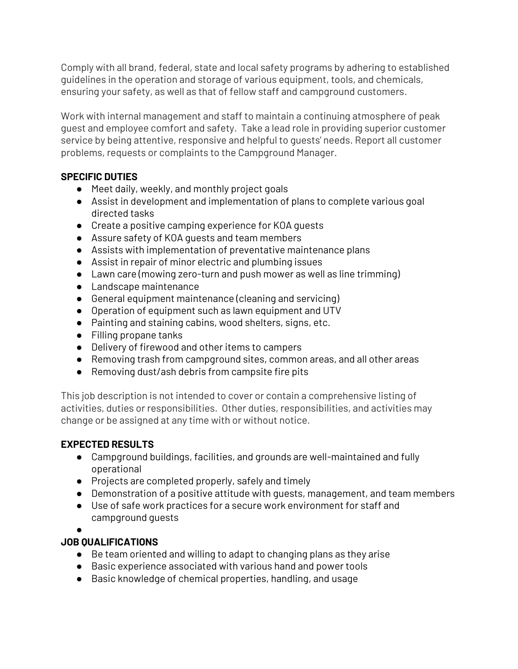Comply with all brand, federal, state and local safety programs by adhering to established guidelines in the operation and storage of various equipment, tools, and chemicals, ensuring your safety, as well as that of fellow staff and campground customers.

Work with internal management and staff to maintain a continuing atmosphere of peak guest and employee comfort and safety. Take a lead role in providing superior customer service by being attentive, responsive and helpful to guests' needs. Report all customer problems, requests or complaints to the Campground Manager.

# **SPECIFIC DUTIES**

- Meet daily, weekly, and monthly project goals
- Assist in development and implementation of plans to complete various goal directed tasks
- Create a positive camping experience for KOA guests
- Assure safety of KOA guests and team members
- Assists with implementation of preventative maintenance plans
- Assist in repair of minor electric and plumbing issues
- Lawn care (mowing zero-turn and push mower as well as line trimming)
- Landscape maintenance
- General equipment maintenance (cleaning and servicing)
- Operation of equipment such as lawn equipment and UTV
- Painting and staining cabins, wood shelters, signs, etc.
- Filling propane tanks
- Delivery of firewood and other items to campers
- Removing trash from campground sites, common areas, and all other areas
- Removing dust/ash debris from campsite fire pits

This job description is not intended to cover or contain a comprehensive listing of activities, duties or responsibilities. Other duties, responsibilities, and activities may change or be assigned at any time with or without notice.

# **EXPECTED RESULTS**

- Campground buildings, facilities, and grounds are well-maintained and fully operational
- Projects are completed properly, safely and timely
- Demonstration of a positive attitude with guests, management, and team members
- Use of safe work practices for a secure work environment for staff and campground guests
- ●

# **JOB QUALIFICATIONS**

- Be team oriented and willing to adapt to changing plans as they arise
- Basic experience associated with various hand and power tools
- Basic knowledge of chemical properties, handling, and usage